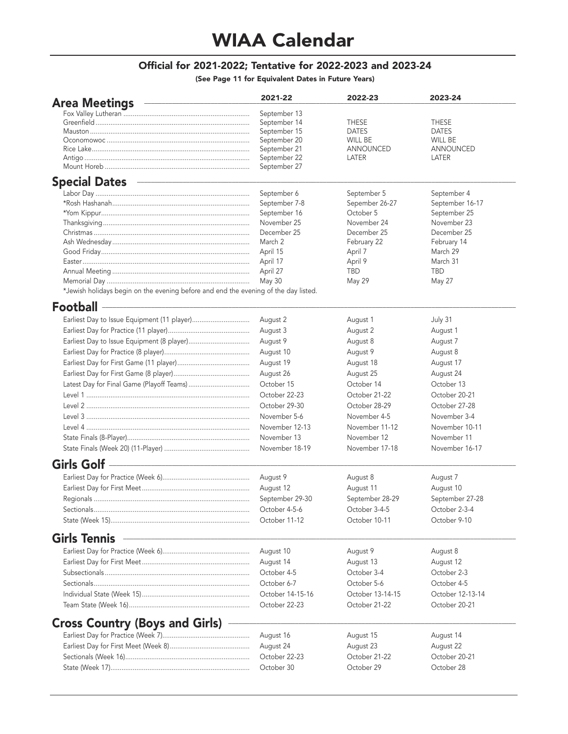## WIAA Calendar

## Official for 2021-2022; Tentative for 2022-2023 and 2023-24

(See Page 11 for Equivalent Dates in Future Years)

| <b>Area Meetings</b>                                                                                                                        | 2021-22          | 2022-23          | 2023-24          |
|---------------------------------------------------------------------------------------------------------------------------------------------|------------------|------------------|------------------|
|                                                                                                                                             | September 13     |                  |                  |
|                                                                                                                                             | September 14     | THESE            | <b>THESE</b>     |
|                                                                                                                                             | September 15     | <b>DATES</b>     | <b>DATES</b>     |
|                                                                                                                                             | September 20     | WILL BE          | WILL BE          |
|                                                                                                                                             | September 21     | ANNOUNCED        | ANNOUNCED        |
|                                                                                                                                             | September 22     | LATER            | LATER            |
|                                                                                                                                             | September 27     |                  |                  |
| <b>Special Dates</b>                                                                                                                        |                  |                  |                  |
|                                                                                                                                             | September 6      | September 5      | September 4      |
|                                                                                                                                             | September 7-8    | Sepember 26-27   | September 16-17  |
|                                                                                                                                             | September 16     | October 5        | September 25     |
|                                                                                                                                             | November 25      | November 24      | November 23      |
|                                                                                                                                             | December 25      | December 25      | December 25      |
|                                                                                                                                             | March 2          | February 22      | February 14      |
|                                                                                                                                             | April 15         | April 7          | March 29         |
|                                                                                                                                             | April 17         | April 9          | March 31         |
|                                                                                                                                             | April 27         | TBD              | <b>TBD</b>       |
|                                                                                                                                             | May 30           | May 29           | May 27           |
| *Jewish holidays begin on the evening before and end the evening of the day listed.                                                         |                  |                  |                  |
| Football                                                                                                                                    |                  |                  |                  |
|                                                                                                                                             | August 2         | August 1         | July 31          |
|                                                                                                                                             | August 3         | August 2         | August 1         |
|                                                                                                                                             | August 9         | August 8         | August 7         |
|                                                                                                                                             | August 10        | August 9         | August 8         |
|                                                                                                                                             |                  |                  |                  |
|                                                                                                                                             | August 19        | August 18        | August 17        |
|                                                                                                                                             | August 26        | August 25        | August 24        |
|                                                                                                                                             | October 15       | October 14       | October 13       |
|                                                                                                                                             | October 22-23    | October 21-22    | October 20-21    |
|                                                                                                                                             | October 29-30    | October 28-29    | October 27-28    |
|                                                                                                                                             | November 5-6     | November 4-5     | November 3-4     |
|                                                                                                                                             | November 12-13   | November 11-12   | November 10-11   |
|                                                                                                                                             | November 13      | November 12      | November 11      |
|                                                                                                                                             | November 18-19   | November 17-18   | November 16-17   |
| Girls Golf -                                                                                                                                |                  |                  |                  |
|                                                                                                                                             | August 9         | August 8         | August 7         |
|                                                                                                                                             |                  |                  |                  |
|                                                                                                                                             | August 12        | August 11        | August 10        |
|                                                                                                                                             | September 29-30  | September 28-29  | September 27-28  |
|                                                                                                                                             | October 4-5-6    | October 3-4-5    | October 2-3-4    |
|                                                                                                                                             | October 11-12    | October 10-11    | October 9-10     |
| <u> 1989 - Johann John Stein, markin film yn y sy'n yn y sy'n yn y sy'n gweithiol yn y sy'n y sy'n y sy'n y sy'n</u><br><b>Girls Tennis</b> |                  |                  |                  |
|                                                                                                                                             | August 10        | August 9         | August 8         |
|                                                                                                                                             | August 14        | August 13        | August 12        |
|                                                                                                                                             | October 4-5      | October 3-4      | October 2-3      |
|                                                                                                                                             |                  |                  |                  |
|                                                                                                                                             | October 6-7      | October 5-6      | October 4-5      |
|                                                                                                                                             | October 14-15-16 | October 13-14-15 | October 12-13-14 |
|                                                                                                                                             | October 22-23    | October 21-22    | October 20-21    |
| <b>Cross Country (Boys and Girls)</b>                                                                                                       |                  |                  |                  |
|                                                                                                                                             | August 16        | August 15        | August 14        |
|                                                                                                                                             | August 24        | August 23        | August 22        |
|                                                                                                                                             | October 22-23    | October 21-22    | October 20-21    |
|                                                                                                                                             |                  |                  |                  |
|                                                                                                                                             | October 30       | October 29       | October 28       |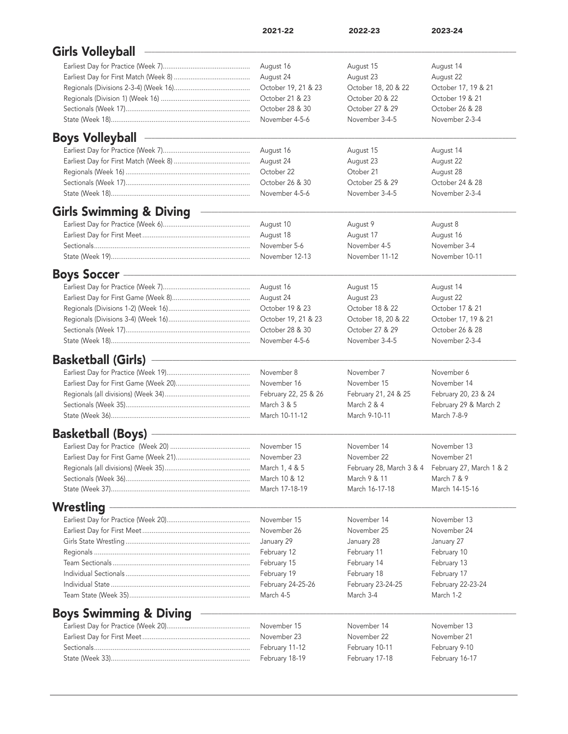| <b>Girls Volleyball</b><br>August 16<br>August 15<br>August 14<br>August 24<br>August 23<br>August 22<br>October 19, 21 & 23<br>October 18, 20 & 22<br>October 17, 19 & 21<br>October 21 & 23<br>October 20 & 22<br>October 19 & 21<br>October 28 & 30<br>October 27 & 29<br>October 26 & 28<br>November 3-4-5<br>November 4-5-6<br>November 2-3-4<br><b>Boys Volleyball</b><br>August 16<br>August 15<br>August 14<br>August 24<br>August 22<br>August 23<br>October 22<br>Otober 21<br>August 28<br>October 24 & 28<br>October 26 & 30<br>October 25 & 29<br>November 3-4-5<br>November 2-3-4<br>November 4-5-6<br><b>Girls Swimming &amp; Diving</b><br>August 10<br>August 9<br>August 8<br>August 18<br>August 17<br>August 16<br>November 4-5<br>November 3-4<br>November 5-6<br>November 12-13<br>November 11-12<br>November 10-11<br><b>Boys Soccer</b><br>August 16<br>August 15<br>August 14<br>August 24<br>August 23<br>August 22<br>October 19 & 23<br>October 18 & 22<br>October 17 & 21<br>October 19, 21 & 23<br>October 18, 20 & 22<br>October 17, 19 & 21<br>October 27 & 29<br>October 26 & 28<br>October 28 & 30<br>November 4-5-6<br>November 3-4-5<br>November 2-3-4<br><b>Basketball (Girls)</b><br>November 8<br>November 7<br>November 6<br>November 16<br>November 15<br>November 14<br>February 22, 25 & 26<br>February 21, 24 & 25<br>February 20, 23 & 24<br>March 3 & 5<br>March 2 & 4<br>February 29 & March 2<br>March 10-11-12<br>March 9-10-11<br>March 7-8-9<br><b>Basketball (Boys)</b><br>November 15<br>November 14<br>November 13<br>November 22<br>November 21<br>November 23<br>February 28, March 3 & 4<br>March 1, 4 & 5<br>February 27, March 1 & 2<br>March 10 & 12<br>March 9 & 11<br>March 7 & 9<br>March 17-18-19<br>March 16-17-18<br>March 14-15-16<br>Wrestling<br>November 15<br>November 14<br>November 13<br>November 25<br>November 24<br>November 26<br>January 29<br>January 27<br>January 28<br>February 12<br>February 11<br>February 10<br>February 15<br>February 14<br>February 13<br>February 19<br>February 18<br>February 17<br>February 24-25-26<br>February 23-24-25<br>February 22-23-24<br>March 3-4<br>March 1-2<br>March 4-5<br><b>Boys Swimming &amp; Diving</b><br>November 14<br>November 13<br>November 15<br>November 23<br>November 22<br>November 21<br>February 10-11<br>February 9-10<br>February 11-12 | 2021-22        | 2022-23        | 2023-24        |
|-----------------------------------------------------------------------------------------------------------------------------------------------------------------------------------------------------------------------------------------------------------------------------------------------------------------------------------------------------------------------------------------------------------------------------------------------------------------------------------------------------------------------------------------------------------------------------------------------------------------------------------------------------------------------------------------------------------------------------------------------------------------------------------------------------------------------------------------------------------------------------------------------------------------------------------------------------------------------------------------------------------------------------------------------------------------------------------------------------------------------------------------------------------------------------------------------------------------------------------------------------------------------------------------------------------------------------------------------------------------------------------------------------------------------------------------------------------------------------------------------------------------------------------------------------------------------------------------------------------------------------------------------------------------------------------------------------------------------------------------------------------------------------------------------------------------------------------------------------------------------------------------------------------------------------------------------------------------------------------------------------------------------------------------------------------------------------------------------------------------------------------------------------------------------------------------------------------------------------------------------------------------------------------------------------------------------------------------------------------------------------------------|----------------|----------------|----------------|
|                                                                                                                                                                                                                                                                                                                                                                                                                                                                                                                                                                                                                                                                                                                                                                                                                                                                                                                                                                                                                                                                                                                                                                                                                                                                                                                                                                                                                                                                                                                                                                                                                                                                                                                                                                                                                                                                                                                                                                                                                                                                                                                                                                                                                                                                                                                                                                                         |                |                |                |
|                                                                                                                                                                                                                                                                                                                                                                                                                                                                                                                                                                                                                                                                                                                                                                                                                                                                                                                                                                                                                                                                                                                                                                                                                                                                                                                                                                                                                                                                                                                                                                                                                                                                                                                                                                                                                                                                                                                                                                                                                                                                                                                                                                                                                                                                                                                                                                                         |                |                |                |
|                                                                                                                                                                                                                                                                                                                                                                                                                                                                                                                                                                                                                                                                                                                                                                                                                                                                                                                                                                                                                                                                                                                                                                                                                                                                                                                                                                                                                                                                                                                                                                                                                                                                                                                                                                                                                                                                                                                                                                                                                                                                                                                                                                                                                                                                                                                                                                                         |                |                |                |
|                                                                                                                                                                                                                                                                                                                                                                                                                                                                                                                                                                                                                                                                                                                                                                                                                                                                                                                                                                                                                                                                                                                                                                                                                                                                                                                                                                                                                                                                                                                                                                                                                                                                                                                                                                                                                                                                                                                                                                                                                                                                                                                                                                                                                                                                                                                                                                                         |                |                |                |
|                                                                                                                                                                                                                                                                                                                                                                                                                                                                                                                                                                                                                                                                                                                                                                                                                                                                                                                                                                                                                                                                                                                                                                                                                                                                                                                                                                                                                                                                                                                                                                                                                                                                                                                                                                                                                                                                                                                                                                                                                                                                                                                                                                                                                                                                                                                                                                                         |                |                |                |
|                                                                                                                                                                                                                                                                                                                                                                                                                                                                                                                                                                                                                                                                                                                                                                                                                                                                                                                                                                                                                                                                                                                                                                                                                                                                                                                                                                                                                                                                                                                                                                                                                                                                                                                                                                                                                                                                                                                                                                                                                                                                                                                                                                                                                                                                                                                                                                                         |                |                |                |
|                                                                                                                                                                                                                                                                                                                                                                                                                                                                                                                                                                                                                                                                                                                                                                                                                                                                                                                                                                                                                                                                                                                                                                                                                                                                                                                                                                                                                                                                                                                                                                                                                                                                                                                                                                                                                                                                                                                                                                                                                                                                                                                                                                                                                                                                                                                                                                                         |                |                |                |
|                                                                                                                                                                                                                                                                                                                                                                                                                                                                                                                                                                                                                                                                                                                                                                                                                                                                                                                                                                                                                                                                                                                                                                                                                                                                                                                                                                                                                                                                                                                                                                                                                                                                                                                                                                                                                                                                                                                                                                                                                                                                                                                                                                                                                                                                                                                                                                                         |                |                |                |
|                                                                                                                                                                                                                                                                                                                                                                                                                                                                                                                                                                                                                                                                                                                                                                                                                                                                                                                                                                                                                                                                                                                                                                                                                                                                                                                                                                                                                                                                                                                                                                                                                                                                                                                                                                                                                                                                                                                                                                                                                                                                                                                                                                                                                                                                                                                                                                                         |                |                |                |
|                                                                                                                                                                                                                                                                                                                                                                                                                                                                                                                                                                                                                                                                                                                                                                                                                                                                                                                                                                                                                                                                                                                                                                                                                                                                                                                                                                                                                                                                                                                                                                                                                                                                                                                                                                                                                                                                                                                                                                                                                                                                                                                                                                                                                                                                                                                                                                                         |                |                |                |
|                                                                                                                                                                                                                                                                                                                                                                                                                                                                                                                                                                                                                                                                                                                                                                                                                                                                                                                                                                                                                                                                                                                                                                                                                                                                                                                                                                                                                                                                                                                                                                                                                                                                                                                                                                                                                                                                                                                                                                                                                                                                                                                                                                                                                                                                                                                                                                                         |                |                |                |
|                                                                                                                                                                                                                                                                                                                                                                                                                                                                                                                                                                                                                                                                                                                                                                                                                                                                                                                                                                                                                                                                                                                                                                                                                                                                                                                                                                                                                                                                                                                                                                                                                                                                                                                                                                                                                                                                                                                                                                                                                                                                                                                                                                                                                                                                                                                                                                                         |                |                |                |
|                                                                                                                                                                                                                                                                                                                                                                                                                                                                                                                                                                                                                                                                                                                                                                                                                                                                                                                                                                                                                                                                                                                                                                                                                                                                                                                                                                                                                                                                                                                                                                                                                                                                                                                                                                                                                                                                                                                                                                                                                                                                                                                                                                                                                                                                                                                                                                                         |                |                |                |
|                                                                                                                                                                                                                                                                                                                                                                                                                                                                                                                                                                                                                                                                                                                                                                                                                                                                                                                                                                                                                                                                                                                                                                                                                                                                                                                                                                                                                                                                                                                                                                                                                                                                                                                                                                                                                                                                                                                                                                                                                                                                                                                                                                                                                                                                                                                                                                                         |                |                |                |
|                                                                                                                                                                                                                                                                                                                                                                                                                                                                                                                                                                                                                                                                                                                                                                                                                                                                                                                                                                                                                                                                                                                                                                                                                                                                                                                                                                                                                                                                                                                                                                                                                                                                                                                                                                                                                                                                                                                                                                                                                                                                                                                                                                                                                                                                                                                                                                                         |                |                |                |
|                                                                                                                                                                                                                                                                                                                                                                                                                                                                                                                                                                                                                                                                                                                                                                                                                                                                                                                                                                                                                                                                                                                                                                                                                                                                                                                                                                                                                                                                                                                                                                                                                                                                                                                                                                                                                                                                                                                                                                                                                                                                                                                                                                                                                                                                                                                                                                                         |                |                |                |
|                                                                                                                                                                                                                                                                                                                                                                                                                                                                                                                                                                                                                                                                                                                                                                                                                                                                                                                                                                                                                                                                                                                                                                                                                                                                                                                                                                                                                                                                                                                                                                                                                                                                                                                                                                                                                                                                                                                                                                                                                                                                                                                                                                                                                                                                                                                                                                                         |                |                |                |
|                                                                                                                                                                                                                                                                                                                                                                                                                                                                                                                                                                                                                                                                                                                                                                                                                                                                                                                                                                                                                                                                                                                                                                                                                                                                                                                                                                                                                                                                                                                                                                                                                                                                                                                                                                                                                                                                                                                                                                                                                                                                                                                                                                                                                                                                                                                                                                                         |                |                |                |
|                                                                                                                                                                                                                                                                                                                                                                                                                                                                                                                                                                                                                                                                                                                                                                                                                                                                                                                                                                                                                                                                                                                                                                                                                                                                                                                                                                                                                                                                                                                                                                                                                                                                                                                                                                                                                                                                                                                                                                                                                                                                                                                                                                                                                                                                                                                                                                                         |                |                |                |
|                                                                                                                                                                                                                                                                                                                                                                                                                                                                                                                                                                                                                                                                                                                                                                                                                                                                                                                                                                                                                                                                                                                                                                                                                                                                                                                                                                                                                                                                                                                                                                                                                                                                                                                                                                                                                                                                                                                                                                                                                                                                                                                                                                                                                                                                                                                                                                                         |                |                |                |
|                                                                                                                                                                                                                                                                                                                                                                                                                                                                                                                                                                                                                                                                                                                                                                                                                                                                                                                                                                                                                                                                                                                                                                                                                                                                                                                                                                                                                                                                                                                                                                                                                                                                                                                                                                                                                                                                                                                                                                                                                                                                                                                                                                                                                                                                                                                                                                                         |                |                |                |
|                                                                                                                                                                                                                                                                                                                                                                                                                                                                                                                                                                                                                                                                                                                                                                                                                                                                                                                                                                                                                                                                                                                                                                                                                                                                                                                                                                                                                                                                                                                                                                                                                                                                                                                                                                                                                                                                                                                                                                                                                                                                                                                                                                                                                                                                                                                                                                                         |                |                |                |
|                                                                                                                                                                                                                                                                                                                                                                                                                                                                                                                                                                                                                                                                                                                                                                                                                                                                                                                                                                                                                                                                                                                                                                                                                                                                                                                                                                                                                                                                                                                                                                                                                                                                                                                                                                                                                                                                                                                                                                                                                                                                                                                                                                                                                                                                                                                                                                                         |                |                |                |
|                                                                                                                                                                                                                                                                                                                                                                                                                                                                                                                                                                                                                                                                                                                                                                                                                                                                                                                                                                                                                                                                                                                                                                                                                                                                                                                                                                                                                                                                                                                                                                                                                                                                                                                                                                                                                                                                                                                                                                                                                                                                                                                                                                                                                                                                                                                                                                                         |                |                |                |
|                                                                                                                                                                                                                                                                                                                                                                                                                                                                                                                                                                                                                                                                                                                                                                                                                                                                                                                                                                                                                                                                                                                                                                                                                                                                                                                                                                                                                                                                                                                                                                                                                                                                                                                                                                                                                                                                                                                                                                                                                                                                                                                                                                                                                                                                                                                                                                                         |                |                |                |
|                                                                                                                                                                                                                                                                                                                                                                                                                                                                                                                                                                                                                                                                                                                                                                                                                                                                                                                                                                                                                                                                                                                                                                                                                                                                                                                                                                                                                                                                                                                                                                                                                                                                                                                                                                                                                                                                                                                                                                                                                                                                                                                                                                                                                                                                                                                                                                                         |                |                |                |
|                                                                                                                                                                                                                                                                                                                                                                                                                                                                                                                                                                                                                                                                                                                                                                                                                                                                                                                                                                                                                                                                                                                                                                                                                                                                                                                                                                                                                                                                                                                                                                                                                                                                                                                                                                                                                                                                                                                                                                                                                                                                                                                                                                                                                                                                                                                                                                                         |                |                |                |
|                                                                                                                                                                                                                                                                                                                                                                                                                                                                                                                                                                                                                                                                                                                                                                                                                                                                                                                                                                                                                                                                                                                                                                                                                                                                                                                                                                                                                                                                                                                                                                                                                                                                                                                                                                                                                                                                                                                                                                                                                                                                                                                                                                                                                                                                                                                                                                                         |                |                |                |
|                                                                                                                                                                                                                                                                                                                                                                                                                                                                                                                                                                                                                                                                                                                                                                                                                                                                                                                                                                                                                                                                                                                                                                                                                                                                                                                                                                                                                                                                                                                                                                                                                                                                                                                                                                                                                                                                                                                                                                                                                                                                                                                                                                                                                                                                                                                                                                                         |                |                |                |
|                                                                                                                                                                                                                                                                                                                                                                                                                                                                                                                                                                                                                                                                                                                                                                                                                                                                                                                                                                                                                                                                                                                                                                                                                                                                                                                                                                                                                                                                                                                                                                                                                                                                                                                                                                                                                                                                                                                                                                                                                                                                                                                                                                                                                                                                                                                                                                                         |                |                |                |
|                                                                                                                                                                                                                                                                                                                                                                                                                                                                                                                                                                                                                                                                                                                                                                                                                                                                                                                                                                                                                                                                                                                                                                                                                                                                                                                                                                                                                                                                                                                                                                                                                                                                                                                                                                                                                                                                                                                                                                                                                                                                                                                                                                                                                                                                                                                                                                                         |                |                |                |
|                                                                                                                                                                                                                                                                                                                                                                                                                                                                                                                                                                                                                                                                                                                                                                                                                                                                                                                                                                                                                                                                                                                                                                                                                                                                                                                                                                                                                                                                                                                                                                                                                                                                                                                                                                                                                                                                                                                                                                                                                                                                                                                                                                                                                                                                                                                                                                                         |                |                |                |
|                                                                                                                                                                                                                                                                                                                                                                                                                                                                                                                                                                                                                                                                                                                                                                                                                                                                                                                                                                                                                                                                                                                                                                                                                                                                                                                                                                                                                                                                                                                                                                                                                                                                                                                                                                                                                                                                                                                                                                                                                                                                                                                                                                                                                                                                                                                                                                                         |                |                |                |
|                                                                                                                                                                                                                                                                                                                                                                                                                                                                                                                                                                                                                                                                                                                                                                                                                                                                                                                                                                                                                                                                                                                                                                                                                                                                                                                                                                                                                                                                                                                                                                                                                                                                                                                                                                                                                                                                                                                                                                                                                                                                                                                                                                                                                                                                                                                                                                                         |                |                |                |
|                                                                                                                                                                                                                                                                                                                                                                                                                                                                                                                                                                                                                                                                                                                                                                                                                                                                                                                                                                                                                                                                                                                                                                                                                                                                                                                                                                                                                                                                                                                                                                                                                                                                                                                                                                                                                                                                                                                                                                                                                                                                                                                                                                                                                                                                                                                                                                                         |                |                |                |
|                                                                                                                                                                                                                                                                                                                                                                                                                                                                                                                                                                                                                                                                                                                                                                                                                                                                                                                                                                                                                                                                                                                                                                                                                                                                                                                                                                                                                                                                                                                                                                                                                                                                                                                                                                                                                                                                                                                                                                                                                                                                                                                                                                                                                                                                                                                                                                                         |                |                |                |
|                                                                                                                                                                                                                                                                                                                                                                                                                                                                                                                                                                                                                                                                                                                                                                                                                                                                                                                                                                                                                                                                                                                                                                                                                                                                                                                                                                                                                                                                                                                                                                                                                                                                                                                                                                                                                                                                                                                                                                                                                                                                                                                                                                                                                                                                                                                                                                                         |                |                |                |
|                                                                                                                                                                                                                                                                                                                                                                                                                                                                                                                                                                                                                                                                                                                                                                                                                                                                                                                                                                                                                                                                                                                                                                                                                                                                                                                                                                                                                                                                                                                                                                                                                                                                                                                                                                                                                                                                                                                                                                                                                                                                                                                                                                                                                                                                                                                                                                                         |                |                |                |
|                                                                                                                                                                                                                                                                                                                                                                                                                                                                                                                                                                                                                                                                                                                                                                                                                                                                                                                                                                                                                                                                                                                                                                                                                                                                                                                                                                                                                                                                                                                                                                                                                                                                                                                                                                                                                                                                                                                                                                                                                                                                                                                                                                                                                                                                                                                                                                                         |                |                |                |
|                                                                                                                                                                                                                                                                                                                                                                                                                                                                                                                                                                                                                                                                                                                                                                                                                                                                                                                                                                                                                                                                                                                                                                                                                                                                                                                                                                                                                                                                                                                                                                                                                                                                                                                                                                                                                                                                                                                                                                                                                                                                                                                                                                                                                                                                                                                                                                                         |                |                |                |
|                                                                                                                                                                                                                                                                                                                                                                                                                                                                                                                                                                                                                                                                                                                                                                                                                                                                                                                                                                                                                                                                                                                                                                                                                                                                                                                                                                                                                                                                                                                                                                                                                                                                                                                                                                                                                                                                                                                                                                                                                                                                                                                                                                                                                                                                                                                                                                                         |                |                |                |
|                                                                                                                                                                                                                                                                                                                                                                                                                                                                                                                                                                                                                                                                                                                                                                                                                                                                                                                                                                                                                                                                                                                                                                                                                                                                                                                                                                                                                                                                                                                                                                                                                                                                                                                                                                                                                                                                                                                                                                                                                                                                                                                                                                                                                                                                                                                                                                                         |                |                |                |
|                                                                                                                                                                                                                                                                                                                                                                                                                                                                                                                                                                                                                                                                                                                                                                                                                                                                                                                                                                                                                                                                                                                                                                                                                                                                                                                                                                                                                                                                                                                                                                                                                                                                                                                                                                                                                                                                                                                                                                                                                                                                                                                                                                                                                                                                                                                                                                                         |                |                |                |
|                                                                                                                                                                                                                                                                                                                                                                                                                                                                                                                                                                                                                                                                                                                                                                                                                                                                                                                                                                                                                                                                                                                                                                                                                                                                                                                                                                                                                                                                                                                                                                                                                                                                                                                                                                                                                                                                                                                                                                                                                                                                                                                                                                                                                                                                                                                                                                                         |                |                |                |
|                                                                                                                                                                                                                                                                                                                                                                                                                                                                                                                                                                                                                                                                                                                                                                                                                                                                                                                                                                                                                                                                                                                                                                                                                                                                                                                                                                                                                                                                                                                                                                                                                                                                                                                                                                                                                                                                                                                                                                                                                                                                                                                                                                                                                                                                                                                                                                                         |                |                |                |
|                                                                                                                                                                                                                                                                                                                                                                                                                                                                                                                                                                                                                                                                                                                                                                                                                                                                                                                                                                                                                                                                                                                                                                                                                                                                                                                                                                                                                                                                                                                                                                                                                                                                                                                                                                                                                                                                                                                                                                                                                                                                                                                                                                                                                                                                                                                                                                                         |                |                |                |
|                                                                                                                                                                                                                                                                                                                                                                                                                                                                                                                                                                                                                                                                                                                                                                                                                                                                                                                                                                                                                                                                                                                                                                                                                                                                                                                                                                                                                                                                                                                                                                                                                                                                                                                                                                                                                                                                                                                                                                                                                                                                                                                                                                                                                                                                                                                                                                                         |                |                |                |
|                                                                                                                                                                                                                                                                                                                                                                                                                                                                                                                                                                                                                                                                                                                                                                                                                                                                                                                                                                                                                                                                                                                                                                                                                                                                                                                                                                                                                                                                                                                                                                                                                                                                                                                                                                                                                                                                                                                                                                                                                                                                                                                                                                                                                                                                                                                                                                                         |                |                |                |
|                                                                                                                                                                                                                                                                                                                                                                                                                                                                                                                                                                                                                                                                                                                                                                                                                                                                                                                                                                                                                                                                                                                                                                                                                                                                                                                                                                                                                                                                                                                                                                                                                                                                                                                                                                                                                                                                                                                                                                                                                                                                                                                                                                                                                                                                                                                                                                                         |                |                |                |
|                                                                                                                                                                                                                                                                                                                                                                                                                                                                                                                                                                                                                                                                                                                                                                                                                                                                                                                                                                                                                                                                                                                                                                                                                                                                                                                                                                                                                                                                                                                                                                                                                                                                                                                                                                                                                                                                                                                                                                                                                                                                                                                                                                                                                                                                                                                                                                                         |                |                |                |
|                                                                                                                                                                                                                                                                                                                                                                                                                                                                                                                                                                                                                                                                                                                                                                                                                                                                                                                                                                                                                                                                                                                                                                                                                                                                                                                                                                                                                                                                                                                                                                                                                                                                                                                                                                                                                                                                                                                                                                                                                                                                                                                                                                                                                                                                                                                                                                                         | February 18-19 | February 17-18 | February 16-17 |